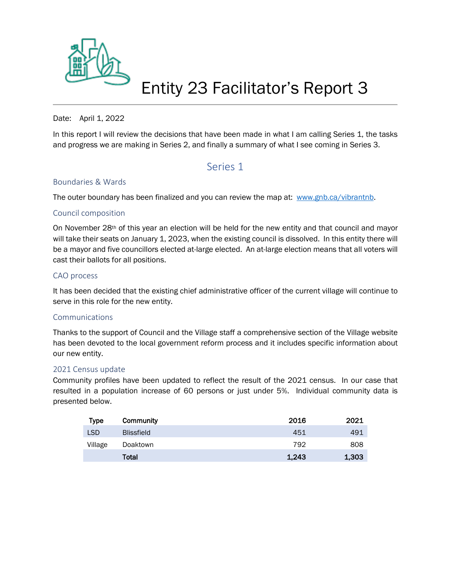

# Entity 23 Facilitator's Report 3

#### Date: April 1, 2022

In this report I will review the decisions that have been made in what I am calling Series 1, the tasks and progress we are making in Series 2, and finally a summary of what I see coming in Series 3.

# Series 1

#### Boundaries & Wards

The outer boundary has been finalized and you can review the map at: [www.gnb.ca/vibrantnb.](http://www.gnb.ca/vibrantnb)

## Council composition

On November 28th of this year an election will be held for the new entity and that council and mayor will take their seats on January 1, 2023, when the existing council is dissolved. In this entity there will be a mayor and five councillors elected at-large elected. An at-large election means that all voters will cast their ballots for all positions.

#### CAO process

It has been decided that the existing chief administrative officer of the current village will continue to serve in this role for the new entity.

#### Communications

Thanks to the support of Council and the Village staff a comprehensive section of the Village website has been devoted to the local government reform process and it includes specific information about our new entity.

#### 2021 Census update

Community profiles have been updated to reflect the result of the 2021 census. In our case that resulted in a population increase of 60 persons or just under 5%. Individual community data is presented below.

| <b>Type</b> | Community         | 2016  | 2021  |
|-------------|-------------------|-------|-------|
| <b>LSD</b>  | <b>Blissfield</b> | 451   | 491   |
| Village     | Doaktown          | 792   | 808   |
|             | Total             | 1,243 | 1,303 |